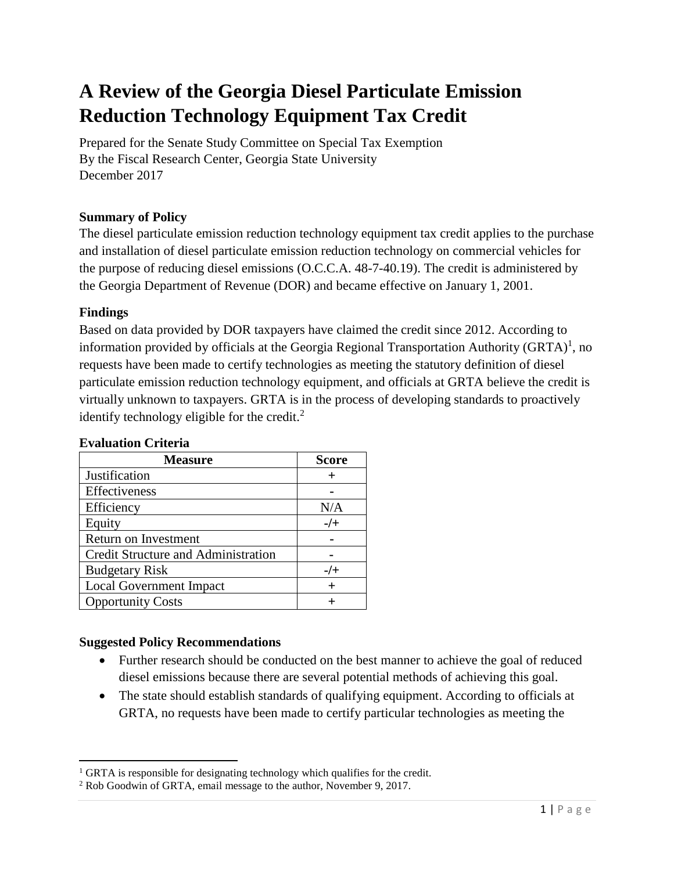# **A Review of the Georgia Diesel Particulate Emission Reduction Technology Equipment Tax Credit**

Prepared for the Senate Study Committee on Special Tax Exemption By the Fiscal Research Center, Georgia State University December 2017

# **Summary of Policy**

The diesel particulate emission reduction technology equipment tax credit applies to the purchase and installation of diesel particulate emission reduction technology on commercial vehicles for the purpose of reducing diesel emissions (O.C.C.A. 48-7-40.19). The credit is administered by the Georgia Department of Revenue (DOR) and became effective on January 1, 2001.

# **Findings**

 $\overline{a}$ 

Based on data provided by DOR taxpayers have claimed the credit since 2012. According to information provided by officials at the Georgia Regional Transportation Authority (GRTA)<sup>1</sup>, no requests have been made to certify technologies as meeting the statutory definition of diesel particulate emission reduction technology equipment, and officials at GRTA believe the credit is virtually unknown to taxpayers. GRTA is in the process of developing standards to proactively identify technology eligible for the credit. $<sup>2</sup>$ </sup>

| <b>Measure</b>                      | <b>Score</b> |
|-------------------------------------|--------------|
| Justification                       |              |
| Effectiveness                       |              |
| Efficiency                          | N/A          |
| Equity                              | $-$ /+       |
| Return on Investment                |              |
| Credit Structure and Administration |              |
| <b>Budgetary Risk</b>               | $-/-$        |
| <b>Local Government Impact</b>      | $\pm$        |
| <b>Opportunity Costs</b>            |              |

# **Evaluation Criteria**

# **Suggested Policy Recommendations**

- Further research should be conducted on the best manner to achieve the goal of reduced diesel emissions because there are several potential methods of achieving this goal.
- The state should establish standards of qualifying equipment. According to officials at GRTA, no requests have been made to certify particular technologies as meeting the

<sup>&</sup>lt;sup>1</sup> GRTA is responsible for designating technology which qualifies for the credit.

<sup>2</sup> Rob Goodwin of GRTA, email message to the author, November 9, 2017.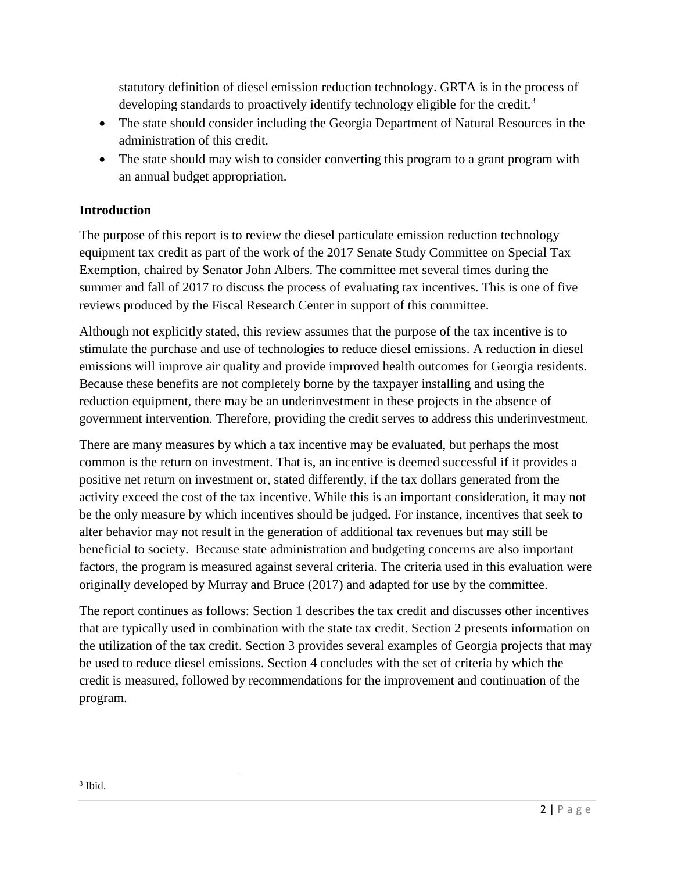statutory definition of diesel emission reduction technology. GRTA is in the process of developing standards to proactively identify technology eligible for the credit.<sup>3</sup>

- The state should consider including the Georgia Department of Natural Resources in the administration of this credit.
- The state should may wish to consider converting this program to a grant program with an annual budget appropriation.

# **Introduction**

The purpose of this report is to review the diesel particulate emission reduction technology equipment tax credit as part of the work of the 2017 Senate Study Committee on Special Tax Exemption, chaired by Senator John Albers. The committee met several times during the summer and fall of 2017 to discuss the process of evaluating tax incentives. This is one of five reviews produced by the Fiscal Research Center in support of this committee.

Although not explicitly stated, this review assumes that the purpose of the tax incentive is to stimulate the purchase and use of technologies to reduce diesel emissions. A reduction in diesel emissions will improve air quality and provide improved health outcomes for Georgia residents. Because these benefits are not completely borne by the taxpayer installing and using the reduction equipment, there may be an underinvestment in these projects in the absence of government intervention. Therefore, providing the credit serves to address this underinvestment.

There are many measures by which a tax incentive may be evaluated, but perhaps the most common is the return on investment. That is, an incentive is deemed successful if it provides a positive net return on investment or, stated differently, if the tax dollars generated from the activity exceed the cost of the tax incentive. While this is an important consideration, it may not be the only measure by which incentives should be judged. For instance, incentives that seek to alter behavior may not result in the generation of additional tax revenues but may still be beneficial to society. Because state administration and budgeting concerns are also important factors, the program is measured against several criteria. The criteria used in this evaluation were originally developed by Murray and Bruce (2017) and adapted for use by the committee.

The report continues as follows: Section 1 describes the tax credit and discusses other incentives that are typically used in combination with the state tax credit. Section 2 presents information on the utilization of the tax credit. Section 3 provides several examples of Georgia projects that may be used to reduce diesel emissions. Section 4 concludes with the set of criteria by which the credit is measured, followed by recommendations for the improvement and continuation of the program.

 $\overline{\phantom{a}}$ 3 Ibid.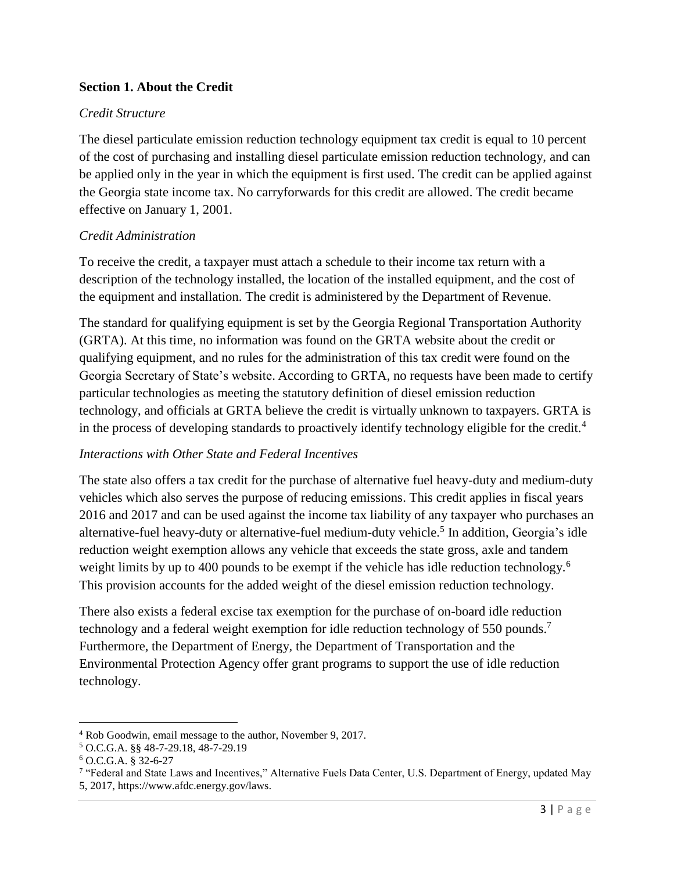# **Section 1. About the Credit**

#### *Credit Structure*

The diesel particulate emission reduction technology equipment tax credit is equal to 10 percent of the cost of purchasing and installing diesel particulate emission reduction technology, and can be applied only in the year in which the equipment is first used. The credit can be applied against the Georgia state income tax. No carryforwards for this credit are allowed. The credit became effective on January 1, 2001.

# *Credit Administration*

To receive the credit, a taxpayer must attach a schedule to their income tax return with a description of the technology installed, the location of the installed equipment, and the cost of the equipment and installation. The credit is administered by the Department of Revenue.

The standard for qualifying equipment is set by the Georgia Regional Transportation Authority (GRTA). At this time, no information was found on the GRTA website about the credit or qualifying equipment, and no rules for the administration of this tax credit were found on the Georgia Secretary of State's website. According to GRTA, no requests have been made to certify particular technologies as meeting the statutory definition of diesel emission reduction technology, and officials at GRTA believe the credit is virtually unknown to taxpayers. GRTA is in the process of developing standards to proactively identify technology eligible for the credit.<sup>4</sup>

#### *Interactions with Other State and Federal Incentives*

The state also offers a tax credit for the purchase of alternative fuel heavy-duty and medium-duty vehicles which also serves the purpose of reducing emissions. This credit applies in fiscal years 2016 and 2017 and can be used against the income tax liability of any taxpayer who purchases an alternative-fuel heavy-duty or alternative-fuel medium-duty vehicle.<sup>5</sup> In addition, Georgia's idle reduction weight exemption allows any vehicle that exceeds the state gross, axle and tandem weight limits by up to 400 pounds to be exempt if the vehicle has idle reduction technology.<sup>6</sup> This provision accounts for the added weight of the diesel emission reduction technology.

There also exists a federal excise tax exemption for the purchase of on-board idle reduction technology and a federal weight exemption for idle reduction technology of 550 pounds.<sup>7</sup> Furthermore, the Department of Energy, the Department of Transportation and the Environmental Protection Agency offer grant programs to support the use of idle reduction technology.

l

<sup>4</sup> Rob Goodwin, email message to the author, November 9, 2017.

<sup>5</sup> O.C.G.A. §§ 48-7-29.18, 48-7-29.19

<sup>6</sup> O.C.G.A. § 32-6-27

<sup>7</sup> "Federal and State Laws and Incentives," Alternative Fuels Data Center, U.S. Department of Energy, updated May 5, 2017, https://www.afdc.energy.gov/laws.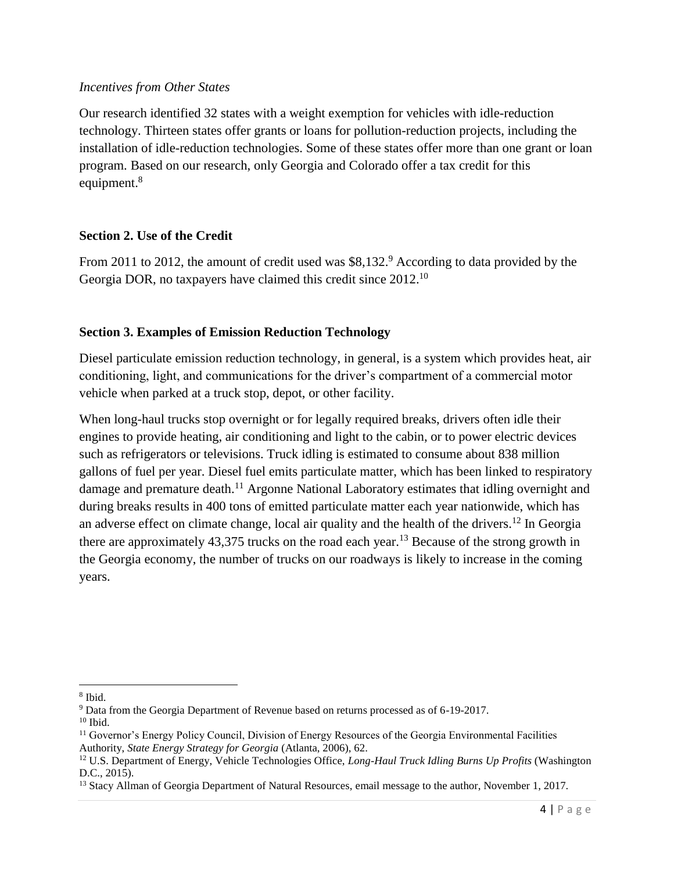#### *Incentives from Other States*

Our research identified 32 states with a weight exemption for vehicles with idle-reduction technology. Thirteen states offer grants or loans for pollution-reduction projects, including the installation of idle-reduction technologies. Some of these states offer more than one grant or loan program. Based on our research, only Georgia and Colorado offer a tax credit for this equipment.<sup>8</sup>

# **Section 2. Use of the Credit**

From 2011 to 2012, the amount of credit used was \$8,132.<sup>9</sup> According to data provided by the Georgia DOR, no taxpayers have claimed this credit since 2012.<sup>10</sup>

# **Section 3. Examples of Emission Reduction Technology**

Diesel particulate emission reduction technology, in general, is a system which provides heat, air conditioning, light, and communications for the driver's compartment of a commercial motor vehicle when parked at a truck stop, depot, or other facility.

When long-haul trucks stop overnight or for legally required breaks, drivers often idle their engines to provide heating, air conditioning and light to the cabin, or to power electric devices such as refrigerators or televisions. Truck idling is estimated to consume about 838 million gallons of fuel per year. Diesel fuel emits particulate matter, which has been linked to respiratory damage and premature death.<sup>11</sup> Argonne National Laboratory estimates that idling overnight and during breaks results in 400 tons of emitted particulate matter each year nationwide, which has an adverse effect on climate change, local air quality and the health of the drivers.<sup>12</sup> In Georgia there are approximately 43,375 trucks on the road each year.<sup>13</sup> Because of the strong growth in the Georgia economy, the number of trucks on our roadways is likely to increase in the coming years.

 $\overline{a}$ 

<sup>8</sup> Ibid.

<sup>9</sup> Data from the Georgia Department of Revenue based on returns processed as of 6-19-2017.

 $10$  Ibid.

<sup>&</sup>lt;sup>11</sup> Governor's Energy Policy Council, Division of Energy Resources of the Georgia Environmental Facilities Authority, *State Energy Strategy for Georgia* (Atlanta, 2006), 62.

<sup>12</sup> U.S. Department of Energy, Vehicle Technologies Office, *Long-Haul Truck Idling Burns Up Profits* (Washington D.C., 2015).

<sup>&</sup>lt;sup>13</sup> Stacy Allman of Georgia Department of Natural Resources, email message to the author, November 1, 2017.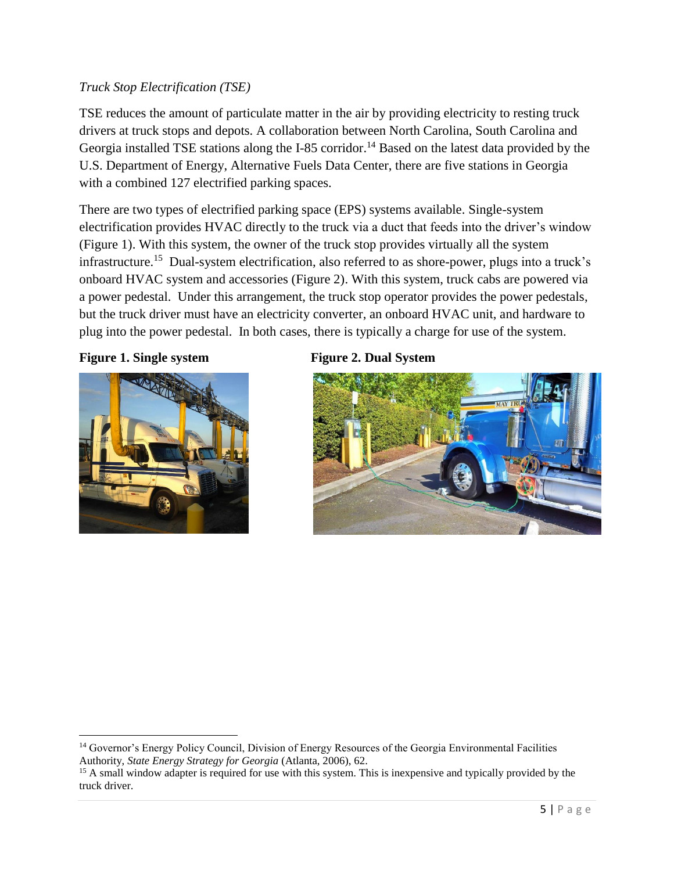# *Truck Stop Electrification (TSE)*

TSE reduces the amount of particulate matter in the air by providing electricity to resting truck drivers at truck stops and depots. A collaboration between North Carolina, South Carolina and Georgia installed TSE stations along the I-85 corridor.<sup>14</sup> Based on the latest data provided by the U.S. Department of Energy, Alternative Fuels Data Center, there are five stations in Georgia with a combined 127 electrified parking spaces.

There are two types of electrified parking space (EPS) systems available. Single-system electrification provides HVAC directly to the truck via a duct that feeds into the driver's window (Figure 1). With this system, the owner of the truck stop provides virtually all the system infrastructure.<sup>15</sup> Dual-system electrification, also referred to as shore-power, plugs into a truck's onboard HVAC system and accessories (Figure 2). With this system, truck cabs are powered via a power pedestal. Under this arrangement, the truck stop operator provides the power pedestals, but the truck driver must have an electricity converter, an onboard HVAC unit, and hardware to plug into the power pedestal. In both cases, there is typically a charge for use of the system.

# Figure 1. Single system Figure 2. Dual System



 $\overline{a}$ 



<sup>&</sup>lt;sup>14</sup> Governor's Energy Policy Council, Division of Energy Resources of the Georgia Environmental Facilities Authority, *State Energy Strategy for Georgia* (Atlanta, 2006), 62.

<sup>&</sup>lt;sup>15</sup> A small window adapter is required for use with this system. This is inexpensive and typically provided by the truck driver.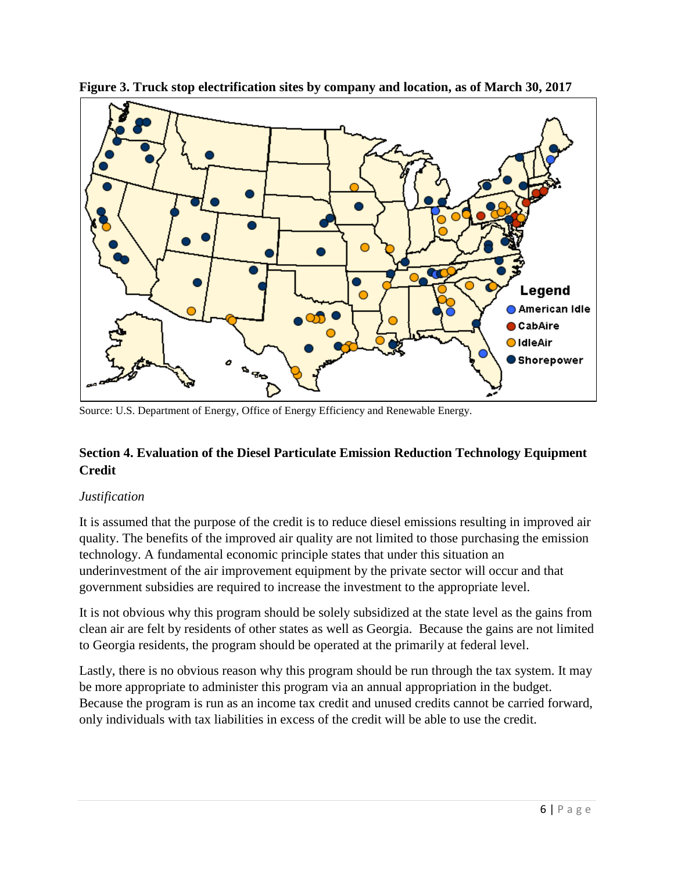

**Figure 3. Truck stop electrification sites by company and location, as of March 30, 2017**

Source: U.S. Department of Energy, Office of Energy Efficiency and Renewable Energy.

# **Section 4. Evaluation of the Diesel Particulate Emission Reduction Technology Equipment Credit**

# *Justification*

It is assumed that the purpose of the credit is to reduce diesel emissions resulting in improved air quality. The benefits of the improved air quality are not limited to those purchasing the emission technology. A fundamental economic principle states that under this situation an underinvestment of the air improvement equipment by the private sector will occur and that government subsidies are required to increase the investment to the appropriate level.

It is not obvious why this program should be solely subsidized at the state level as the gains from clean air are felt by residents of other states as well as Georgia. Because the gains are not limited to Georgia residents, the program should be operated at the primarily at federal level.

Lastly, there is no obvious reason why this program should be run through the tax system. It may be more appropriate to administer this program via an annual appropriation in the budget. Because the program is run as an income tax credit and unused credits cannot be carried forward, only individuals with tax liabilities in excess of the credit will be able to use the credit.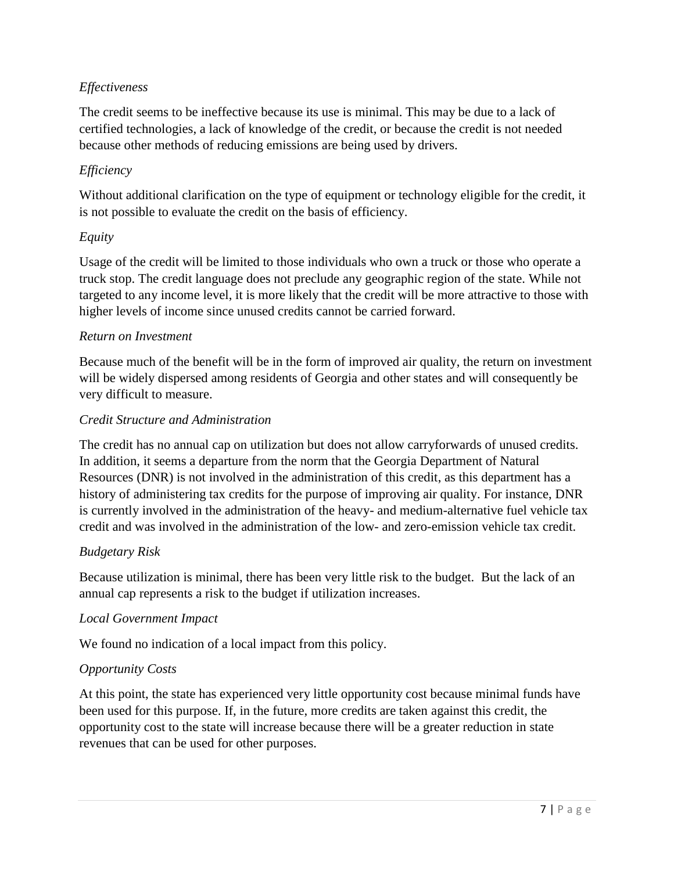# *Effectiveness*

The credit seems to be ineffective because its use is minimal. This may be due to a lack of certified technologies, a lack of knowledge of the credit, or because the credit is not needed because other methods of reducing emissions are being used by drivers.

# *Efficiency*

Without additional clarification on the type of equipment or technology eligible for the credit, it is not possible to evaluate the credit on the basis of efficiency.

# *Equity*

Usage of the credit will be limited to those individuals who own a truck or those who operate a truck stop. The credit language does not preclude any geographic region of the state. While not targeted to any income level, it is more likely that the credit will be more attractive to those with higher levels of income since unused credits cannot be carried forward.

#### *Return on Investment*

Because much of the benefit will be in the form of improved air quality, the return on investment will be widely dispersed among residents of Georgia and other states and will consequently be very difficult to measure.

# *Credit Structure and Administration*

The credit has no annual cap on utilization but does not allow carryforwards of unused credits. In addition, it seems a departure from the norm that the Georgia Department of Natural Resources (DNR) is not involved in the administration of this credit, as this department has a history of administering tax credits for the purpose of improving air quality. For instance, DNR is currently involved in the administration of the heavy- and medium-alternative fuel vehicle tax credit and was involved in the administration of the low- and zero-emission vehicle tax credit.

#### *Budgetary Risk*

Because utilization is minimal, there has been very little risk to the budget. But the lack of an annual cap represents a risk to the budget if utilization increases.

#### *Local Government Impact*

We found no indication of a local impact from this policy.

# *Opportunity Costs*

At this point, the state has experienced very little opportunity cost because minimal funds have been used for this purpose. If, in the future, more credits are taken against this credit, the opportunity cost to the state will increase because there will be a greater reduction in state revenues that can be used for other purposes.